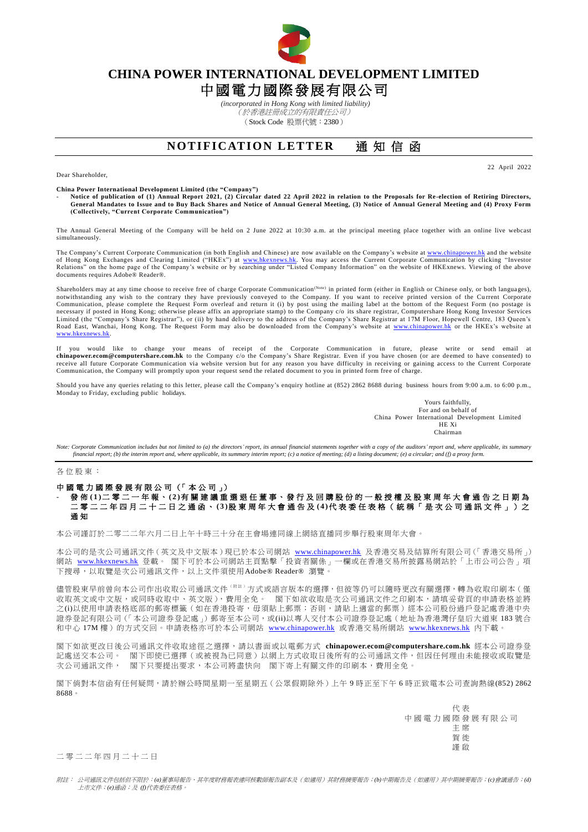

## **CHINA POWER INTERNATIONAL DEVELOPMENT LIMITED** 中國電力國際發展有限公司

*(incorporated in Hong Kong with limited liability)* (於香港註冊成立的有限責任公司) (Stock Code 股票代號:2380)

## **NOTIFICATION LETTER** 通知信函

22 April 2022

Dear Shareholder,

**China Power International Development Limited (the "Company")**

- **Notice of publication of (1) Annual Report 2021, (2) Circular dated 22 April 2022 in relation to the Proposals for Re-election of Retiring Directors, General Mandates to Issue and to Buy Back Shares and Notice of Annual General Meeting, (3) Notice of Annual General Meeting and (4) Proxy Form (Collectively, "Current Corporate Communication")**

The Annual General Meeting of the Company will be held on 2 June 2022 at 10:30 a.m. at the principal meeting place together with an online live webcast simultaneously.

The Company's Current Corporate Communication (in both English and Chinese) are now available on the Company's website a[t www.chinapower.hk](http://www.chinapower.hk/) and the website of Hong Kong Exchanges and Clearing Limited ("HKEx") at <u>www.hkexnews.hk</u>. You may access the Current Corporate Communication by clicking "Investor<br>Relations" on the home page of the Company's website or by searching under

Shareholders may at any time choose to receive free of charge Corporate Communication<sup>(Note)</sup> in printed form (either in English or Chinese only, or both languages), notwithstanding any wish to the contrary they have previously conveyed to the Company. If you want to receive printed version of the Current Corporate Communication, please complete the Request Form overleaf and return it (i) by post using the mailing label at the bottom of the Request Form (no postage is necessary if posted in Hong Kong; otherwise please affix an appropriate stamp) to the Company c/o its share registrar, Computershare Hong Kong Investor Services<br>Limited (the "Company's Share Registrar"), or (ii) by hand de Road East, Wanchai, Hong Kong. The Request Form may also be downloaded from the Company's website at [www.chinapower.hk](http://www.chinapower.hk/) or the HKEx's website at [www.hkexnews.hk.](http://www.hkexnews.hk/)

If you would like to change your means of receipt of the Corporate Communication in future, please write or send email at<br>[chinapower.ecom@computershare.com.hk](mailto:chinapower.ecom@computershare.com.hk)t othe Company c/othe Company's Share-Registrar. Even if you hav receive all future Corporate Communication via website version but for any reason you have difficulty in receiving or gaining access to the Current Corporate Communication, the Company will promptly upon your request send the related document to you in printed form free of charge.

Should you have any queries relating to this letter, please call the Company's enquiry hotline at (852) 2862 8688 during business hours from 9:00 a.m. to 6:00 p.m., Monday to Friday, excluding public holidays.

> Yours faithfully, For and on behalf of China Power International Development Limited HE Xi Chairman

*Note: Corporate Communication includes but not limited to (a) the directors' report, its annual financial statements together with a copy of the auditors' report and, where applicable, its summary financial report; (b) the interim report and, where applicable, its summary interim report; (c) a notice of meeting; (d) a listing document; (e) a circular; and (f) a proxy form.*

各 位 股 東 :

## 中國 電力 國 際 發 展 有 限 公 司 (「本 公 司 」) - 發 佈 **( 1 )**二 零 二 一 年 報 、 **( 2 )**有 關 建 議 重 選 退 任 董 事 、 發 行 及 回 購 股 份 的 一 般 授 權 及 股 東 周 年 大 會 通 告 之 日 期 為 二 零 二 二 年 四 月 二 十 二 日 之 通 函 、 **( 3 )**股 東 周 年 大 會 通 告 及 **( 4 )**代 表 委 任 表 格 ( 統 稱 「 是 次 公 司 通 訊 文件」 ) 之 通 知

本公司謹訂於二零二二年六月二日上午十時三十分在主會場連同線上網絡直播同步舉行股東周年大會。

本公司的是次公司通訊文件(英文及中文版本)現已於本公司網站 [www.chinapower.hk](http://www.chinapower.hk/) 及香港交易及結算所有限公司(「香港交易所」) 網站 [www.hkexnews.hk](http://www.hkexnews.hk/) 登載。 閣下可於本公司網站主頁點擊「投資者關係」一欄或在香港交易所披露易網站於「上市公司公告」項 下搜尋,以取覽是次公司通訊文件,以上文件須使用Adobe® Reader® 瀏覽。

儘管股東早前曾向本公司作出收取公司通訊文件<sup>(附註)</sup>方式或語言版本的選擇,但彼等仍可以隨時更改有關選擇,轉為收取印刷本(僅 收取英文或中文版,或同時收取中、英文版),費用全免。 閣下如欲收取是次公司通訊文件之印刷本,請填妥背頁的申請表格並將 之(i)以使用申請表格底部的郵寄標籤(如在香港投寄,毋須貼上郵票;否則,請貼上適當的郵票)經本公司股份過戶登記處香港中央 證券登記有限公司(「本公司證券登記處」)郵寄至本公司,或(ii)以專人交付本公司證券登記處(地址為香港灣仔皇后大道東 183號合 和中心 17M 樓)的方式交回。申請表格亦可於本公司網站 [www.chinapower.hk](http://www.chinapower.hk/) 或香港交易所網站 [www.hkexnews.hk](http://www.hkexnews.hk/) 內下載。

閣下如欲更改日後公司通訊文件收取途徑之選擇,請以書面或以電郵方式 [chinapower.ecom@computershare.com.hk](mailto:chinapower.ecom@computershare.com.hk) 經本公司證券登<br>記處送交本公司。 閣下即使已撰擇(或被視為已同意)以網上方式收取日後所有的公司通訊文件,但因任何理由未能接收或取覽是 閣下即使已選擇(或被視為已同意)以網上方式收取日後所有的公司通訊文件,但因任何理由未能接收或取覽是 次公司通訊文件, 閣下只要提出要求,本公司將盡快向 閣下寄上有關文件的印刷本,費用全免。

閣下倘對本信函有任何疑問,請於辦公時間星期一至星期五(公眾假期除外)上午 9 時正至下午 6 時正致電本公司查詢熱線(852) 2862 8688。

> 代 表 中國電力國際發展有限公司 主 席 賀 徙 謹 啟

二 零 二 二 年四月 二 十 二 日

附註: 公司通訊文件包括但不限於:*(a)*董事局報告、其年度財務報表連同核數師報告副本及(如適用)其財務摘要報告;*(b)*中期報告及(如適用)其中期摘要報告;*(c)*會議通告;*(d)* 上市文件;*(e)*通函;及 *(f)*代表委任表格。